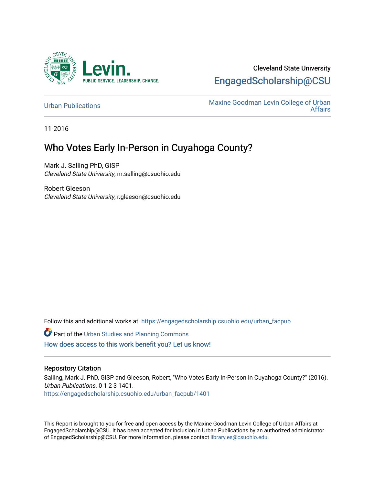

## Cleveland State University [EngagedScholarship@CSU](https://engagedscholarship.csuohio.edu/)

[Urban Publications](https://engagedscholarship.csuohio.edu/urban_facpub) Maxine Goodman Levin College of Urban [Affairs](https://engagedscholarship.csuohio.edu/urban) 

11-2016

## Who Votes Early In-Person in Cuyahoga County?

Mark J. Salling PhD, GISP Cleveland State University, m.salling@csuohio.edu

Robert Gleeson Cleveland State University, r.gleeson@csuohio.edu

Follow this and additional works at: [https://engagedscholarship.csuohio.edu/urban\\_facpub](https://engagedscholarship.csuohio.edu/urban_facpub?utm_source=engagedscholarship.csuohio.edu%2Furban_facpub%2F1401&utm_medium=PDF&utm_campaign=PDFCoverPages) 

**Part of the [Urban Studies and Planning Commons](http://network.bepress.com/hgg/discipline/436?utm_source=engagedscholarship.csuohio.edu%2Furban_facpub%2F1401&utm_medium=PDF&utm_campaign=PDFCoverPages)** [How does access to this work benefit you? Let us know!](http://library.csuohio.edu/engaged/)

## Repository Citation

Salling, Mark J. PhD, GISP and Gleeson, Robert, "Who Votes Early In-Person in Cuyahoga County?" (2016). Urban Publications. 0 1 2 3 1401. [https://engagedscholarship.csuohio.edu/urban\\_facpub/1401](https://engagedscholarship.csuohio.edu/urban_facpub/1401?utm_source=engagedscholarship.csuohio.edu%2Furban_facpub%2F1401&utm_medium=PDF&utm_campaign=PDFCoverPages) 

This Report is brought to you for free and open access by the Maxine Goodman Levin College of Urban Affairs at EngagedScholarship@CSU. It has been accepted for inclusion in Urban Publications by an authorized administrator of EngagedScholarship@CSU. For more information, please contact [library.es@csuohio.edu.](mailto:library.es@csuohio.edu)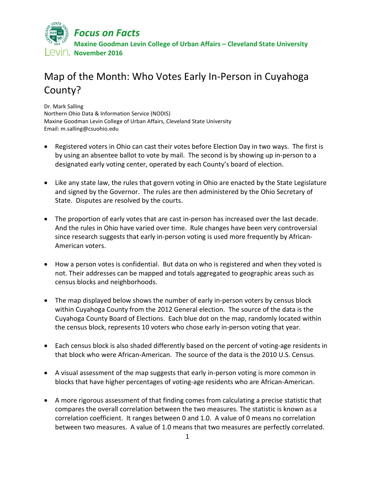

## Map of the Month: Who Votes Early In-Person in Cuyahoga County?

Dr. Mark Salling Northern Ohio Data & Information Service (NODIS) Maxine Goodman Levin College of Urban Affairs, Cleveland State University Email: m.salling@csuohio.edu

- Registered voters in Ohio can cast their votes before Election Day in two ways. The first is by using an absentee ballot to vote by mail. The second is by showing up in-person to a designated early voting center, operated by each County's board of election.
- Like any state law, the rules that govern voting in Ohio are enacted by the State Legislature and signed by the Governor. The rules are then administered by the Ohio Secretary of State. Disputes are resolved by the courts.
- The proportion of early votes that are cast in-person has increased over the last decade. And the rules in Ohio have varied over time. Rule changes have been very controversial since research suggests that early in-person voting is used more frequently by African-American voters.
- How a person votes is confidential. But data on who is registered and when they voted is not. Their addresses can be mapped and totals aggregated to geographic areas such as census blocks and neighborhoods.
- The map displayed below shows the number of early in-person voters by census block within Cuyahoga County from the 2012 General election. The source of the data is the Cuyahoga County Board of Elections. Each blue dot on the map, randomly located within the census block, represents 10 voters who chose early in-person voting that year.
- Each census block is also shaded differently based on the percent of voting-age residents in that block who were African-American. The source of the data is the 2010 U.S. Census.
- A visual assessment of the map suggests that early in-person voting is more common in blocks that have higher percentages of voting-age residents who are African-American.
- A more rigorous assessment of that finding comes from calculating a precise statistic that compares the overall correlation between the two measures. The statistic is known as a correlation coefficient. It ranges between 0 and 1.0. A value of 0 means no correlation between two measures. A value of 1.0 means that two measures are perfectly correlated.